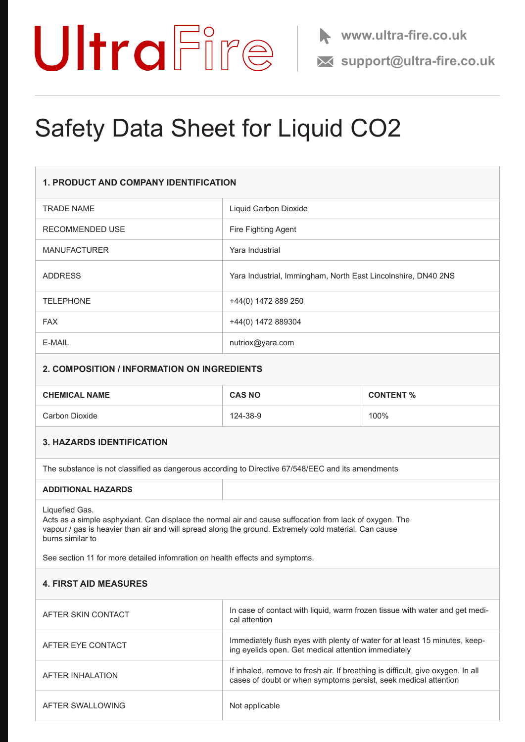

# Safety Data Sheet for Liquid CO2

| <b>1. PRODUCT AND COMPANY IDENTIFICATION</b>                                                                                                                                                                                                                                                                                           |                                                                                                                                                    |                  |
|----------------------------------------------------------------------------------------------------------------------------------------------------------------------------------------------------------------------------------------------------------------------------------------------------------------------------------------|----------------------------------------------------------------------------------------------------------------------------------------------------|------------------|
| <b>TRADE NAME</b>                                                                                                                                                                                                                                                                                                                      | Liquid Carbon Dioxide                                                                                                                              |                  |
| RECOMMENDED USE                                                                                                                                                                                                                                                                                                                        | Fire Fighting Agent                                                                                                                                |                  |
| <b>MANUFACTURER</b>                                                                                                                                                                                                                                                                                                                    | Yara Industrial                                                                                                                                    |                  |
| <b>ADDRESS</b>                                                                                                                                                                                                                                                                                                                         | Yara Industrial, Immingham, North East Lincolnshire, DN40 2NS                                                                                      |                  |
| <b>TELEPHONE</b>                                                                                                                                                                                                                                                                                                                       | +44(0) 1472 889 250                                                                                                                                |                  |
| <b>FAX</b>                                                                                                                                                                                                                                                                                                                             | +44(0) 1472 889304                                                                                                                                 |                  |
| E-MAIL                                                                                                                                                                                                                                                                                                                                 | nutriox@yara.com                                                                                                                                   |                  |
| 2. COMPOSITION / INFORMATION ON INGREDIENTS                                                                                                                                                                                                                                                                                            |                                                                                                                                                    |                  |
| <b>CHEMICAL NAME</b>                                                                                                                                                                                                                                                                                                                   | <b>CAS NO</b>                                                                                                                                      | <b>CONTENT %</b> |
| Carbon Dioxide                                                                                                                                                                                                                                                                                                                         | 124-38-9                                                                                                                                           | 100%             |
| <b>3. HAZARDS IDENTIFICATION</b>                                                                                                                                                                                                                                                                                                       |                                                                                                                                                    |                  |
| The substance is not classified as dangerous according to Directive 67/548/EEC and its amendments                                                                                                                                                                                                                                      |                                                                                                                                                    |                  |
| <b>ADDITIONAL HAZARDS</b>                                                                                                                                                                                                                                                                                                              |                                                                                                                                                    |                  |
| Liquefied Gas.<br>Acts as a simple asphyxiant. Can displace the normal air and cause suffocation from lack of oxygen. The<br>vapour / gas is heavier than air and will spread along the ground. Extremely cold material. Can cause<br>burns similar to<br>See section 11 for more detailed infomration on health effects and symptoms. |                                                                                                                                                    |                  |
| <b>4. FIRST AID MEASURES</b>                                                                                                                                                                                                                                                                                                           |                                                                                                                                                    |                  |
| AFTER SKIN CONTACT                                                                                                                                                                                                                                                                                                                     | In case of contact with liquid, warm frozen tissue with water and get medi-<br>cal attention                                                       |                  |
| AFTER EYE CONTACT                                                                                                                                                                                                                                                                                                                      | Immediately flush eyes with plenty of water for at least 15 minutes, keep-<br>ing eyelids open. Get medical attention immediately                  |                  |
| <b>AFTER INHALATION</b>                                                                                                                                                                                                                                                                                                                | If inhaled, remove to fresh air. If breathing is difficult, give oxygen. In all<br>cases of doubt or when symptoms persist, seek medical attention |                  |
| AFTER SWALLOWING                                                                                                                                                                                                                                                                                                                       | Not applicable                                                                                                                                     |                  |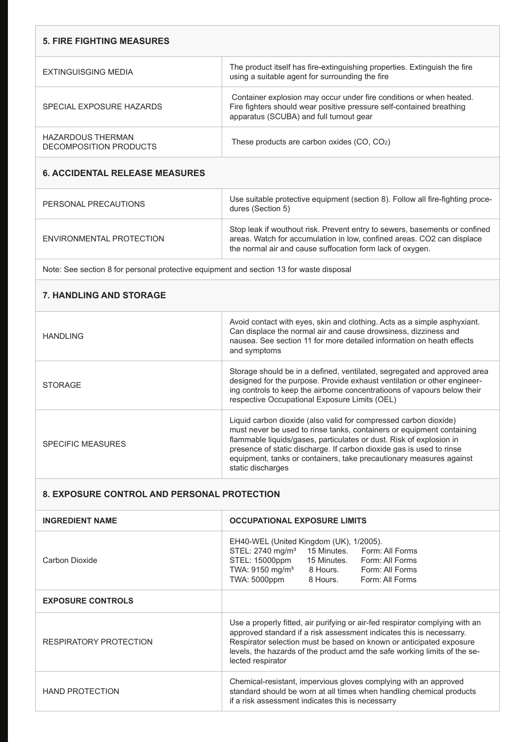| <b>5. FIRE FIGHTING MEASURES</b>            |                                                                                                                                                                                        |
|---------------------------------------------|----------------------------------------------------------------------------------------------------------------------------------------------------------------------------------------|
| EXTINGUISGING MEDIA                         | The product itself has fire-extinguishing properties. Extinguish the fire<br>using a suitable agent for surrounding the fire                                                           |
| SPECIAL EXPOSURE HAZARDS                    | Container explosion may occur under fire conditions or when heated.<br>Fire fighters should wear positive pressure self-contained breathing<br>apparatus (SCUBA) and full turnout gear |
| HAZARDOUS THERMAN<br>DECOMPOSITION PRODUCTS | These products are carbon oxides $(CO, CO2)$                                                                                                                                           |
|                                             |                                                                                                                                                                                        |

# **6. ACCIDENTAL RELEASE MEASURES**

| PERSONAL PRECAUTIONS     | Use suitable protective equipment (section 8). Follow all fire-fighting proce-<br>dures (Section 5)                                                                                                               |
|--------------------------|-------------------------------------------------------------------------------------------------------------------------------------------------------------------------------------------------------------------|
| ENVIRONMENTAL PROTECTION | Stop leak if wouthout risk. Prevent entry to sewers, basements or confined<br>areas. Watch for accumulation in low, confined areas. CO2 can displace<br>the normal air and cause suffocation form lack of oxygen. |

Note: See section 8 for personal protective equipment and section 13 for waste disposal

# **7. HANDLING AND STORAGE**

| HANDI ING                | Avoid contact with eyes, skin and clothing. Acts as a simple asphyxiant.<br>Can displace the normal air and cause drowsiness, dizziness and<br>nausea. See section 11 for more detailed information on heath effects<br>and symptoms                                                                                                                                                 |
|--------------------------|--------------------------------------------------------------------------------------------------------------------------------------------------------------------------------------------------------------------------------------------------------------------------------------------------------------------------------------------------------------------------------------|
| <b>STORAGE</b>           | Storage should be in a defined, ventilated, segregated and approved area<br>designed for the purpose. Provide exhaust ventilation or other engineer-<br>ing controls to keep the airborne concentratioons of vapours below their<br>respective Occupational Exposure Limits (OEL)                                                                                                    |
| <b>SPECIFIC MEASURES</b> | Liquid carbon dioxide (also valid for compressed carbon dioxide)<br>must never be used to rinse tanks, containers or equipment containing<br>flammable liquids/gases, particulates or dust. Risk of explosion in<br>presence of static discharge. If carbon dioxide gas is used to rinse<br>equipment, tanks or containers, take precautionary measures against<br>static discharges |

#### **8. EXPOSURE CONTROL AND PERSONAL PROTECTION**

| <b>INGREDIENT NAME</b>        | <b>OCCUPATIONAL EXPOSURE LIMITS</b>                                                                                                                                                                                                                                                                                           |  |
|-------------------------------|-------------------------------------------------------------------------------------------------------------------------------------------------------------------------------------------------------------------------------------------------------------------------------------------------------------------------------|--|
| Carbon Dioxide                | EH40-WEL (United Kingdom (UK), 1/2005).<br>STEL: 2740 mg/m <sup>3</sup><br>15 Minutes. Form: All Forms<br>STEL: 15000ppm<br>15 Minutes. Form: All Forms<br>TWA: 9150 mg/m <sup>3</sup><br>8 Hours. Form: All Forms<br>TWA: 5000ppm<br>8 Hours.<br>Form: All Forms                                                             |  |
| <b>EXPOSURE CONTROLS</b>      |                                                                                                                                                                                                                                                                                                                               |  |
| <b>RESPIRATORY PROTECTION</b> | Use a properly fitted, air purifying or air-fed respirator complying with an<br>approved standard if a risk assessment indicates this is necessarry.<br>Respirator selection must be based on known or anticipated exposure<br>levels, the hazards of the product amd the safe working limits of the se-<br>lected respirator |  |
| <b>HAND PROTECTION</b>        | Chemical-resistant, impervious gloves complying with an approved<br>standard should be worn at all times when handling chemical products<br>if a risk assessment indicates this is necessarry                                                                                                                                 |  |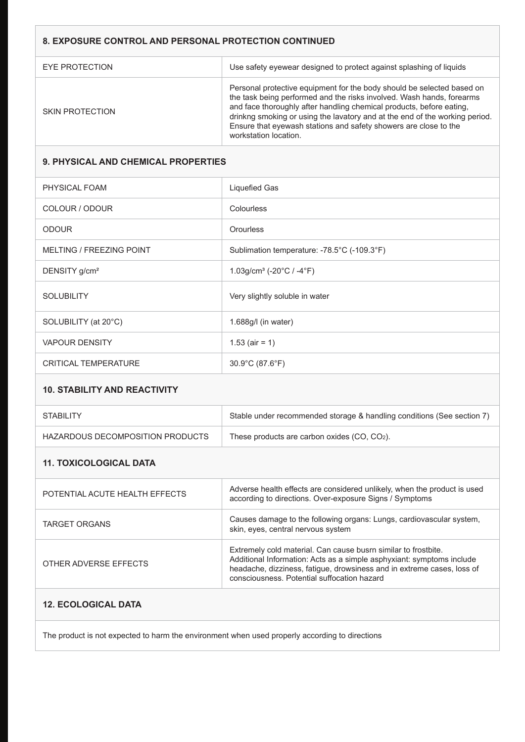### **8. EXPOSURE CONTROL AND PERSONAL PROTECTION CONTINUED**

| EYE PROTECTION  | Use safety eyewear designed to protect against splashing of liquids                                                                                                                                                                                                                                                                                                                                 |
|-----------------|-----------------------------------------------------------------------------------------------------------------------------------------------------------------------------------------------------------------------------------------------------------------------------------------------------------------------------------------------------------------------------------------------------|
| SKIN PROTECTION | Personal protective equipment for the body should be selected based on<br>the task being performed and the risks involved. Wash hands, forearms<br>and face thoroughly after handling chemical products, before eating,<br>drinkng smoking or using the lavatory and at the end of the working period.<br>Ensure that eyewash stations and safety showers are close to the<br>workstation location. |

#### **9. PHYSICAL AND CHEMICAL PROPERTIES**

| PHYSICAL FOAM               | <b>Liquefied Gas</b>                                       |
|-----------------------------|------------------------------------------------------------|
| COLOUR / ODOUR              | Colourless                                                 |
| <b>ODOUR</b>                | <b>Orourless</b>                                           |
| MELTING / FREEZING POINT    | Sublimation temperature: -78.5°C (-109.3°F)                |
| DENSITY g/cm <sup>2</sup>   | 1.03g/cm <sup>3</sup> (-20 $^{\circ}$ C / -4 $^{\circ}$ F) |
| <b>SOLUBILITY</b>           | Very slightly soluble in water                             |
| SOLUBILITY (at 20°C)        | 1.688g/l (in water)                                        |
| <b>VAPOUR DENSITY</b>       | 1.53 (air = 1)                                             |
| <b>CRITICAL TEMPERATURE</b> | 30.9°C (87.6°F)                                            |
|                             |                                                            |

#### **10. STABILITY AND REACTIVITY**

| <b>STABILITY</b>                 | Stable under recommended storage & handling conditions (See section 7) |
|----------------------------------|------------------------------------------------------------------------|
| HAZARDOUS DECOMPOSITION PRODUCTS | These products are carbon oxides (CO, CO2).                            |

#### **11. TOXICOLOGICAL DATA**

| POTENTIAL ACUTE HEALTH EFFECTS | Adverse health effects are considered unlikely, when the product is used<br>according to directions. Over-exposure Signs / Symptoms                                                                                                                              |
|--------------------------------|------------------------------------------------------------------------------------------------------------------------------------------------------------------------------------------------------------------------------------------------------------------|
| <b>TARGET ORGANS</b>           | Causes damage to the following organs: Lungs, cardiovascular system,<br>skin, eyes, central nervous system                                                                                                                                                       |
| OTHER ADVERSE EFFECTS          | Extremely cold material. Can cause busrn similar to frostbite.<br>Additional Information: Acts as a simple asphyxiant: symptoms include<br>headache, dizziness, fatigue, drowsiness and in extreme cases, loss of<br>consciousness. Potential suffocation hazard |

#### **12. ECOLOGICAL DATA**

The product is not expected to harm the environment when used properly according to directions